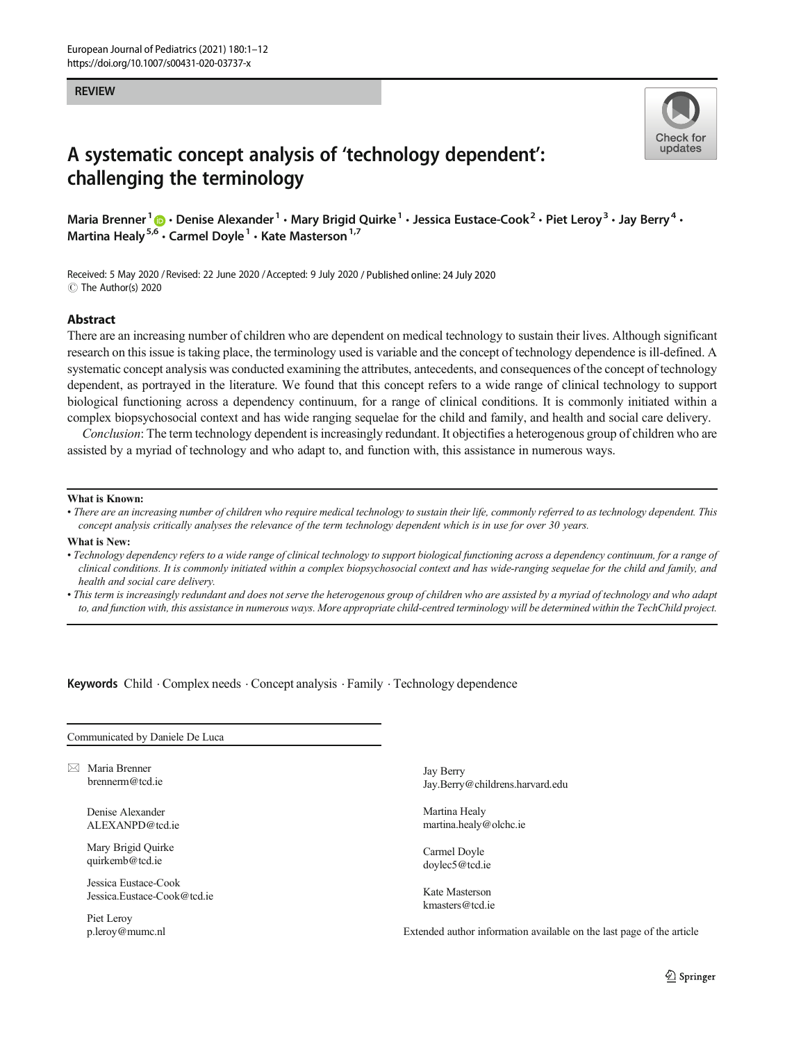#### **REVIEW**



# A systematic concept analysis of 'technology dependent': challenging the terminology

Maria Brenner<sup>1</sup>  $\cdot$  Denise Alexander<sup>1</sup>  $\cdot$  Mary Brigid Quirke<sup>1</sup>  $\cdot$  Jessica Eustace-Cook<sup>2</sup>  $\cdot$  Piet Leroy<sup>3</sup>  $\cdot$  Jay Berry<sup>4</sup>  $\cdot$ Martina Healy<sup>5,6</sup>  $\cdot$  Carmel Doyle<sup>1</sup>  $\cdot$  Kate Masterson<sup>1,7</sup>

Received: 5 May 2020 / Revised: 22 June 2020 /Accepted: 9 July 2020 / Published online: 24 July 2020 C The Author(s) 2020

#### Abstract

There are an increasing number of children who are dependent on medical technology to sustain their lives. Although significant research on this issue is taking place, the terminology used is variable and the concept of technology dependence is ill-defined. A systematic concept analysis was conducted examining the attributes, antecedents, and consequences of the concept of technology dependent, as portrayed in the literature. We found that this concept refers to a wide range of clinical technology to support biological functioning across a dependency continuum, for a range of clinical conditions. It is commonly initiated within a complex biopsychosocial context and has wide ranging sequelae for the child and family, and health and social care delivery.

Conclusion: The term technology dependent is increasingly redundant. It objectifies a heterogenous group of children who are assisted by a myriad of technology and who adapt to, and function with, this assistance in numerous ways.

#### What is Known:

• There are an increasing number of children who require medical technology to sustain their life, commonly referred to as technology dependent. This concept analysis critically analyses the relevance of the term technology dependent which is in use for over 30 years.

#### What is New:

- Technology dependency refers to a wide range of clinical technology to support biological functioning across a dependency continuum, for a range of clinical conditions. It is commonly initiated within a complex biopsychosocial context and has wide-ranging sequelae for the child and family, and health and social care delivery.
- This term is increasingly redundant and does not serve the heterogenous group of children who are assisted by a myriad of technology and who adapt to, and function with, this assistance in numerous ways. More appropriate child-centred terminology will be determined within the TechChild project.

Keywords Child . Complex needs . Concept analysis . Family . Technology dependence

Communicated by Daniele De Luca

 $\boxtimes$  Maria Brenner [brennerm@tcd.ie](mailto:brennerm@tcd.ie)

> Denise Alexander ALEXANPD@tcd.ie

Mary Brigid Quirke quirkemb@tcd.ie

Jessica Eustace-Cook Jessica.Eustace-Cook@tcd.ie

Piet Leroy p.leroy@mumc.nl Jay Berry Jay.Berry@childrens.harvard.edu

Martina Healy martina.healy@olchc.ie

Carmel Doyle doylec5@tcd.ie

Kate Masterson kmasters@tcd.ie

Extended author information available on the last page of the article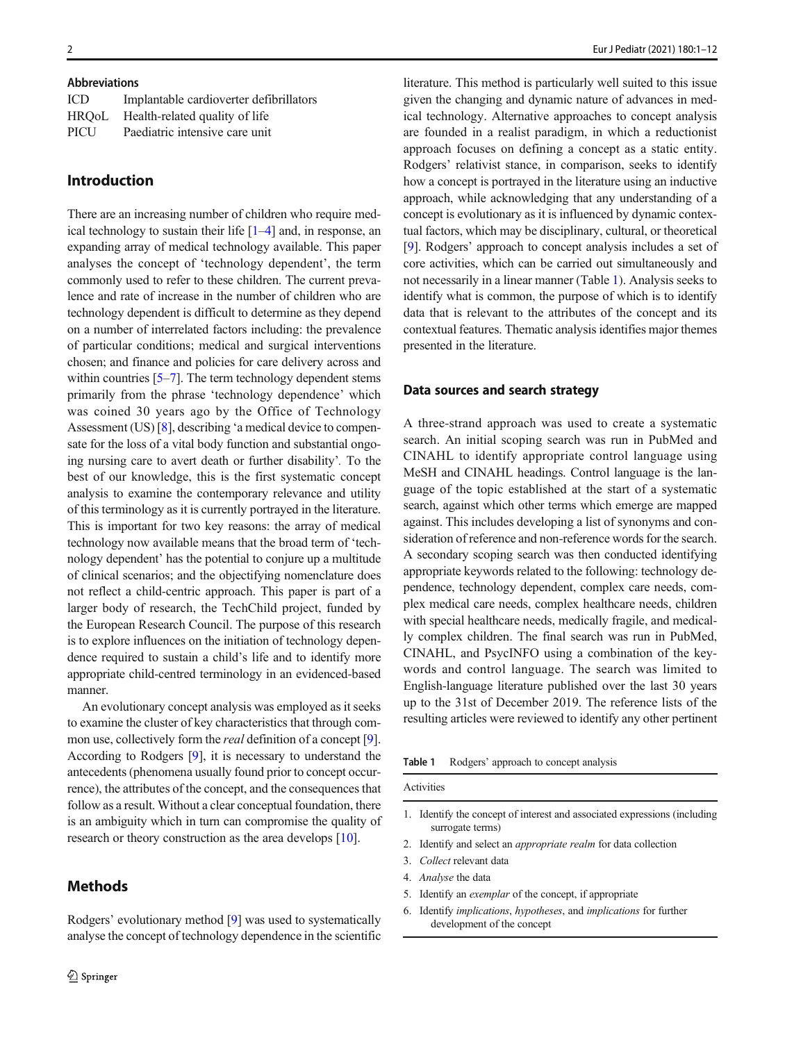#### Abbreviations

| ICD. | Implantable cardioverter defibrillators |
|------|-----------------------------------------|
|      | HRQoL Health-related quality of life    |
| PICU | Paediatric intensive care unit          |

## Introduction

There are an increasing number of children who require medical technology to sustain their life [\[1](#page-7-0)–[4\]](#page-7-0) and, in response, an expanding array of medical technology available. This paper analyses the concept of 'technology dependent', the term commonly used to refer to these children. The current prevalence and rate of increase in the number of children who are technology dependent is difficult to determine as they depend on a number of interrelated factors including: the prevalence of particular conditions; medical and surgical interventions chosen; and finance and policies for care delivery across and within countries [\[5](#page-7-0)–[7\]](#page-7-0). The term technology dependent stems primarily from the phrase 'technology dependence' which was coined 30 years ago by the Office of Technology Assessment (US) [\[8](#page-7-0)], describing 'a medical device to compensate for the loss of a vital body function and substantial ongoing nursing care to avert death or further disability'. To the best of our knowledge, this is the first systematic concept analysis to examine the contemporary relevance and utility of this terminology as it is currently portrayed in the literature. This is important for two key reasons: the array of medical technology now available means that the broad term of 'technology dependent' has the potential to conjure up a multitude of clinical scenarios; and the objectifying nomenclature does not reflect a child-centric approach. This paper is part of a larger body of research, the TechChild project, funded by the European Research Council. The purpose of this research is to explore influences on the initiation of technology dependence required to sustain a child's life and to identify more appropriate child-centred terminology in an evidenced-based manner.

An evolutionary concept analysis was employed as it seeks to examine the cluster of key characteristics that through common use, collectively form the *real* definition of a concept [[9\]](#page-7-0). According to Rodgers [[9\]](#page-7-0), it is necessary to understand the antecedents (phenomena usually found prior to concept occurrence), the attributes of the concept, and the consequences that follow as a result. Without a clear conceptual foundation, there is an ambiguity which in turn can compromise the quality of research or theory construction as the area develops [\[10\]](#page-7-0).

# **Methods**

literature. This method is particularly well suited to this issue given the changing and dynamic nature of advances in medical technology. Alternative approaches to concept analysis are founded in a realist paradigm, in which a reductionist approach focuses on defining a concept as a static entity. Rodgers' relativist stance, in comparison, seeks to identify how a concept is portrayed in the literature using an inductive approach, while acknowledging that any understanding of a concept is evolutionary as it is influenced by dynamic contextual factors, which may be disciplinary, cultural, or theoretical [\[9](#page-7-0)]. Rodgers' approach to concept analysis includes a set of core activities, which can be carried out simultaneously and not necessarily in a linear manner (Table 1). Analysis seeks to identify what is common, the purpose of which is to identify data that is relevant to the attributes of the concept and its contextual features. Thematic analysis identifies major themes presented in the literature.

## Data sources and search strategy

A three-strand approach was used to create a systematic search. An initial scoping search was run in PubMed and CINAHL to identify appropriate control language using MeSH and CINAHL headings. Control language is the language of the topic established at the start of a systematic search, against which other terms which emerge are mapped against. This includes developing a list of synonyms and consideration of reference and non-reference words for the search. A secondary scoping search was then conducted identifying appropriate keywords related to the following: technology dependence, technology dependent, complex care needs, complex medical care needs, complex healthcare needs, children with special healthcare needs, medically fragile, and medically complex children. The final search was run in PubMed, CINAHL, and PsycINFO using a combination of the keywords and control language. The search was limited to English-language literature published over the last 30 years up to the 31st of December 2019. The reference lists of the resulting articles were reviewed to identify any other pertinent

| Table 1 |  | Rodgers' approach to concept analysis |  |
|---------|--|---------------------------------------|--|
|---------|--|---------------------------------------|--|

Activities

- 1. Identify the concept of interest and associated expressions (including surrogate terms)
- 2. Identify and select an appropriate realm for data collection
- 3. Collect relevant data
- 4. Analyse the data
- 5. Identify an exemplar of the concept, if appropriate
- 6. Identify implications, hypotheses, and implications for further development of the concept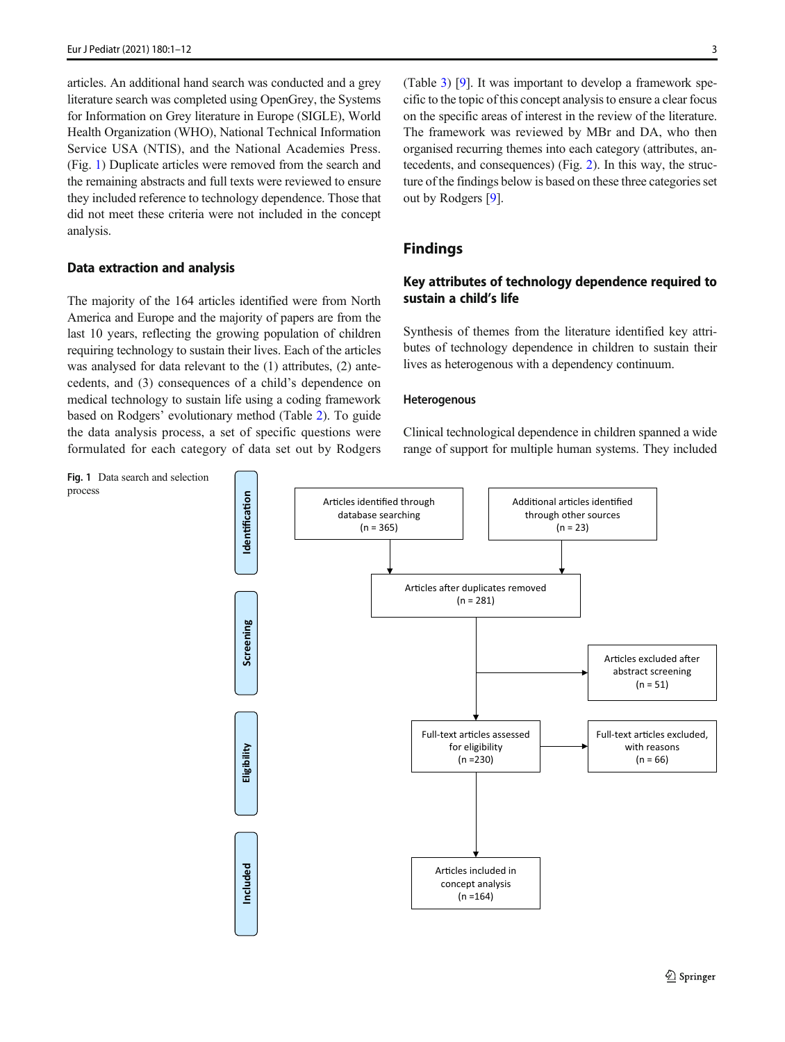<span id="page-2-0"></span>articles. An additional hand search was conducted and a grey literature search was completed using OpenGrey, the Systems for Information on Grey literature in Europe (SIGLE), World Health Organization (WHO), National Technical Information Service USA (NTIS), and the National Academies Press. (Fig. 1) Duplicate articles were removed from the search and the remaining abstracts and full texts were reviewed to ensure they included reference to technology dependence. Those that did not meet these criteria were not included in the concept analysis.

## Data extraction and analysis

The majority of the 164 articles identified were from North America and Europe and the majority of papers are from the last 10 years, reflecting the growing population of children requiring technology to sustain their lives. Each of the articles was analysed for data relevant to the (1) attributes, (2) antecedents, and (3) consequences of a child's dependence on medical technology to sustain life using a coding framework based on Rodgers' evolutionary method (Table [2\)](#page-3-0). To guide the data analysis process, a set of specific questions were formulated for each category of data set out by Rodgers (Table [3](#page-3-0)) [[9\]](#page-7-0). It was important to develop a framework specific to the topic of this concept analysis to ensure a clear focus on the specific areas of interest in the review of the literature. The framework was reviewed by MBr and DA, who then organised recurring themes into each category (attributes, antecedents, and consequences) (Fig. [2\)](#page-4-0). In this way, the structure of the findings below is based on these three categories set out by Rodgers [[9\]](#page-7-0).

## Findings

## Key attributes of technology dependence required to sustain a child's life

Synthesis of themes from the literature identified key attributes of technology dependence in children to sustain their lives as heterogenous with a dependency continuum.

#### Heterogenous

Clinical technological dependence in children spanned a wide range of support for multiple human systems. They included

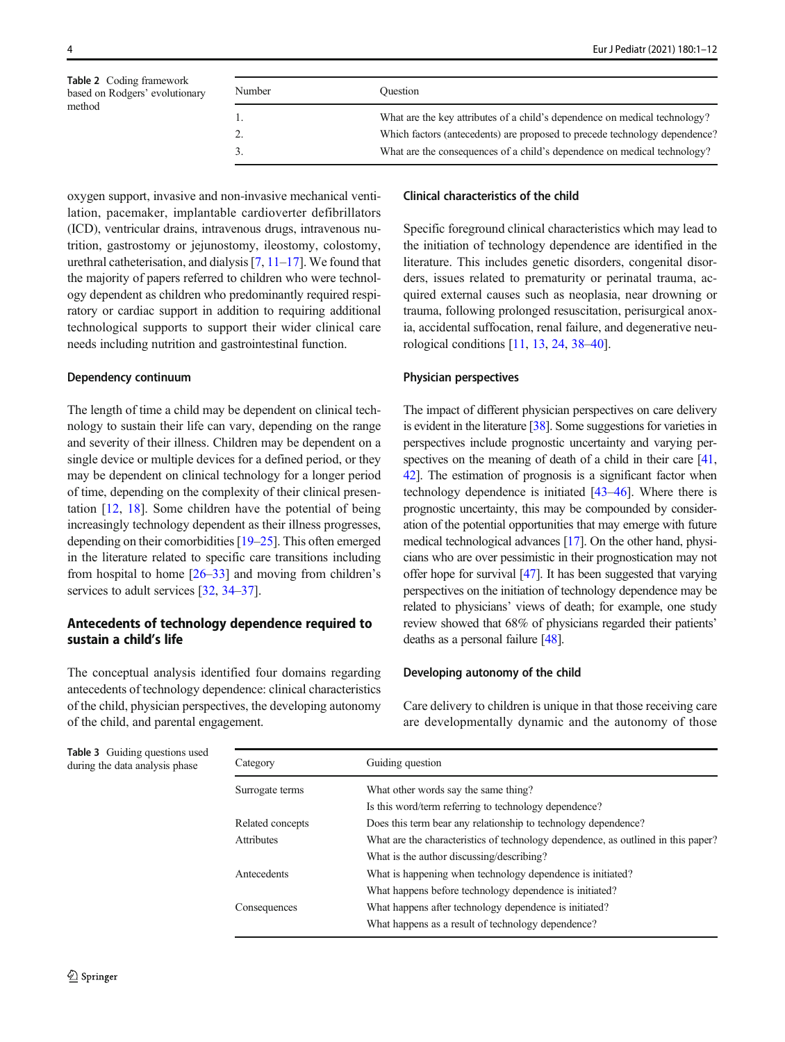<span id="page-3-0"></span>Table 2 Coding framework based on Rodgers' evolutionary method

| Number | <b>Ouestion</b>                                                            |
|--------|----------------------------------------------------------------------------|
|        | What are the key attributes of a child's dependence on medical technology? |
|        | Which factors (antecedents) are proposed to precede technology dependence? |
|        | What are the consequences of a child's dependence on medical technology?   |

# oxygen support, invasive and non-invasive mechanical ventilation, pacemaker, implantable cardioverter defibrillators (ICD), ventricular drains, intravenous drugs, intravenous nutrition, gastrostomy or jejunostomy, ileostomy, colostomy, urethral catheterisation, and dialysis [\[7](#page-7-0), [11](#page-7-0)–[17](#page-7-0)]. We found that the majority of papers referred to children who were technology dependent as children who predominantly required respiratory or cardiac support in addition to requiring additional technological supports to support their wider clinical care needs including nutrition and gastrointestinal function.

#### Dependency continuum

The length of time a child may be dependent on clinical technology to sustain their life can vary, depending on the range and severity of their illness. Children may be dependent on a single device or multiple devices for a defined period, or they may be dependent on clinical technology for a longer period of time, depending on the complexity of their clinical presentation [\[12](#page-7-0), [18\]](#page-7-0). Some children have the potential of being increasingly technology dependent as their illness progresses, depending on their comorbidities [[19](#page-7-0)–[25](#page-7-0)]. This often emerged in the literature related to specific care transitions including from hospital to home [\[26](#page-7-0)–[33\]](#page-8-0) and moving from children's services to adult services [\[32](#page-7-0), [34](#page-8-0)–[37\]](#page-8-0).

## Antecedents of technology dependence required to sustain a child's life

The conceptual analysis identified four domains regarding antecedents of technology dependence: clinical characteristics of the child, physician perspectives, the developing autonomy of the child, and parental engagement.

#### Clinical characteristics of the child

Specific foreground clinical characteristics which may lead to the initiation of technology dependence are identified in the literature. This includes genetic disorders, congenital disorders, issues related to prematurity or perinatal trauma, acquired external causes such as neoplasia, near drowning or trauma, following prolonged resuscitation, perisurgical anoxia, accidental suffocation, renal failure, and degenerative neurological conditions [\[11,](#page-7-0) [13,](#page-7-0) [24,](#page-7-0) [38](#page-8-0)–[40](#page-8-0)].

#### Physician perspectives

The impact of different physician perspectives on care delivery is evident in the literature [[38](#page-8-0)]. Some suggestions for varieties in perspectives include prognostic uncertainty and varying per-spectives on the meaning of death of a child in their care [\[41,](#page-8-0) [42\]](#page-8-0). The estimation of prognosis is a significant factor when technology dependence is initiated [\[43](#page-8-0)–[46\]](#page-8-0). Where there is prognostic uncertainty, this may be compounded by consideration of the potential opportunities that may emerge with future medical technological advances [[17](#page-7-0)]. On the other hand, physicians who are over pessimistic in their prognostication may not offer hope for survival [\[47\]](#page-8-0). It has been suggested that varying perspectives on the initiation of technology dependence may be related to physicians' views of death; for example, one study review showed that 68% of physicians regarded their patients' deaths as a personal failure [[48\]](#page-8-0).

#### Developing autonomy of the child

Care delivery to children is unique in that those receiving care are developmentally dynamic and the autonomy of those

Table 3 Guiding questions used  $\frac{d}{dx}$  during the data analysis phase  $\frac{d}{dx}$  C

| Category         | Guiding question                                                                  |
|------------------|-----------------------------------------------------------------------------------|
| Surrogate terms  | What other words say the same thing?                                              |
|                  | Is this word/term referring to technology dependence?                             |
| Related concepts | Does this term bear any relationship to technology dependence?                    |
| Attributes       | What are the characteristics of technology dependence, as outlined in this paper? |
|                  | What is the author discussing/describing?                                         |
| Antecedents      | What is happening when technology dependence is initiated?                        |
|                  | What happens before technology dependence is initiated?                           |
| Consequences     | What happens after technology dependence is initiated?                            |
|                  | What happens as a result of technology dependence?                                |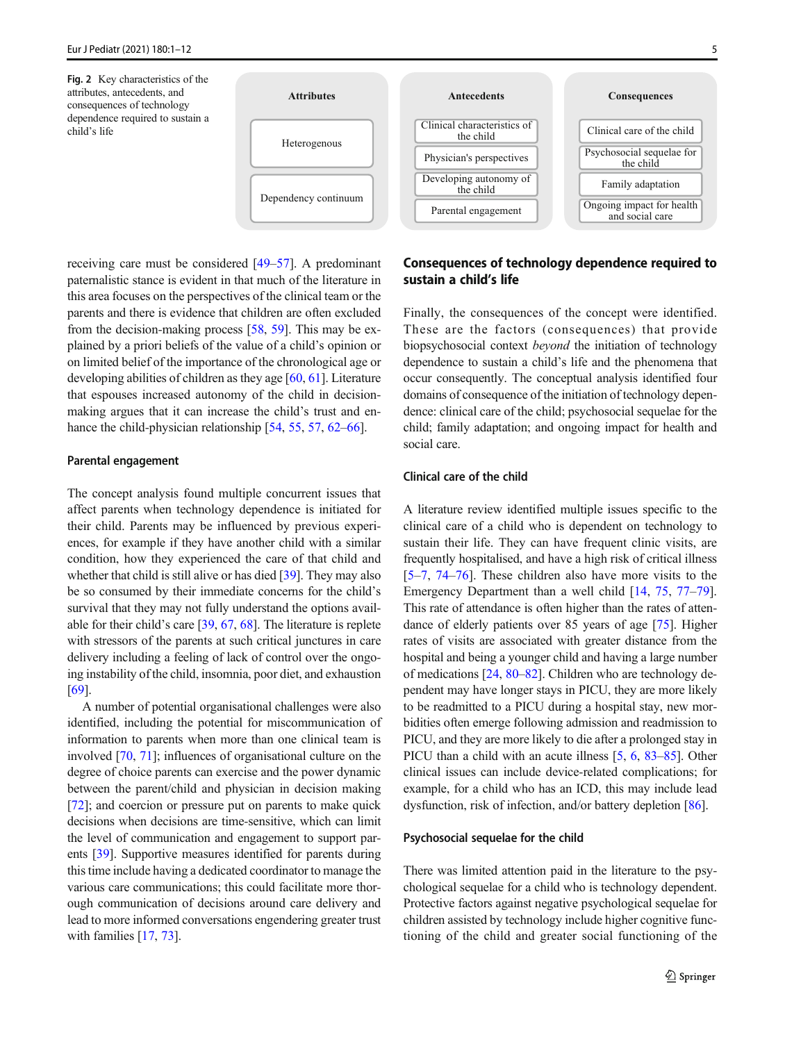<span id="page-4-0"></span>

receiving care must be considered [\[49](#page-8-0)–[57\]](#page-8-0). A predominant paternalistic stance is evident in that much of the literature in this area focuses on the perspectives of the clinical team or the parents and there is evidence that children are often excluded from the decision-making process [[58](#page-8-0), [59\]](#page-8-0). This may be explained by a priori beliefs of the value of a child's opinion or on limited belief of the importance of the chronological age or developing abilities of children as they age [[60](#page-8-0), [61\]](#page-8-0). Literature that espouses increased autonomy of the child in decisionmaking argues that it can increase the child's trust and en-hance the child-physician relationship [\[54,](#page-8-0) [55,](#page-8-0) [57,](#page-8-0) [62](#page-8-0)–[66](#page-8-0)].

#### Parental engagement

The concept analysis found multiple concurrent issues that affect parents when technology dependence is initiated for their child. Parents may be influenced by previous experiences, for example if they have another child with a similar condition, how they experienced the care of that child and whether that child is still alive or has died [\[39\]](#page-8-0). They may also be so consumed by their immediate concerns for the child's survival that they may not fully understand the options available for their child's care [\[39,](#page-8-0) [67](#page-8-0), [68\]](#page-8-0). The literature is replete with stressors of the parents at such critical junctures in care delivery including a feeling of lack of control over the ongoing instability of the child, insomnia, poor diet, and exhaustion [\[69\]](#page-9-0).

A number of potential organisational challenges were also identified, including the potential for miscommunication of information to parents when more than one clinical team is involved [\[70,](#page-9-0) [71\]](#page-9-0); influences of organisational culture on the degree of choice parents can exercise and the power dynamic between the parent/child and physician in decision making [\[72\]](#page-9-0); and coercion or pressure put on parents to make quick decisions when decisions are time-sensitive, which can limit the level of communication and engagement to support parents [\[39](#page-8-0)]. Supportive measures identified for parents during this time include having a dedicated coordinator to manage the various care communications; this could facilitate more thorough communication of decisions around care delivery and lead to more informed conversations engendering greater trust with families [\[17](#page-7-0), [73](#page-9-0)].



Finally, the consequences of the concept were identified. These are the factors (consequences) that provide biopsychosocial context beyond the initiation of technology dependence to sustain a child's life and the phenomena that occur consequently. The conceptual analysis identified four domains of consequence of the initiation of technology dependence: clinical care of the child; psychosocial sequelae for the child; family adaptation; and ongoing impact for health and social care.

## Clinical care of the child

A literature review identified multiple issues specific to the clinical care of a child who is dependent on technology to sustain their life. They can have frequent clinic visits, are frequently hospitalised, and have a high risk of critical illness [\[5](#page-7-0)–[7](#page-7-0), [74](#page-9-0)–[76\]](#page-9-0). These children also have more visits to the Emergency Department than a well child [\[14](#page-7-0), [75](#page-9-0), [77](#page-9-0)–[79\]](#page-9-0). This rate of attendance is often higher than the rates of attendance of elderly patients over 85 years of age [\[75](#page-9-0)]. Higher rates of visits are associated with greater distance from the hospital and being a younger child and having a large number of medications [\[24,](#page-7-0) [80](#page-9-0)–[82](#page-9-0)]. Children who are technology dependent may have longer stays in PICU, they are more likely to be readmitted to a PICU during a hospital stay, new morbidities often emerge following admission and readmission to PICU, and they are more likely to die after a prolonged stay in PICU than a child with an acute illness [\[5,](#page-7-0) [6](#page-7-0), [83](#page-9-0)–[85](#page-9-0)]. Other clinical issues can include device-related complications; for example, for a child who has an ICD, this may include lead dysfunction, risk of infection, and/or battery depletion [\[86](#page-9-0)].

#### Psychosocial sequelae for the child

There was limited attention paid in the literature to the psychological sequelae for a child who is technology dependent. Protective factors against negative psychological sequelae for children assisted by technology include higher cognitive functioning of the child and greater social functioning of the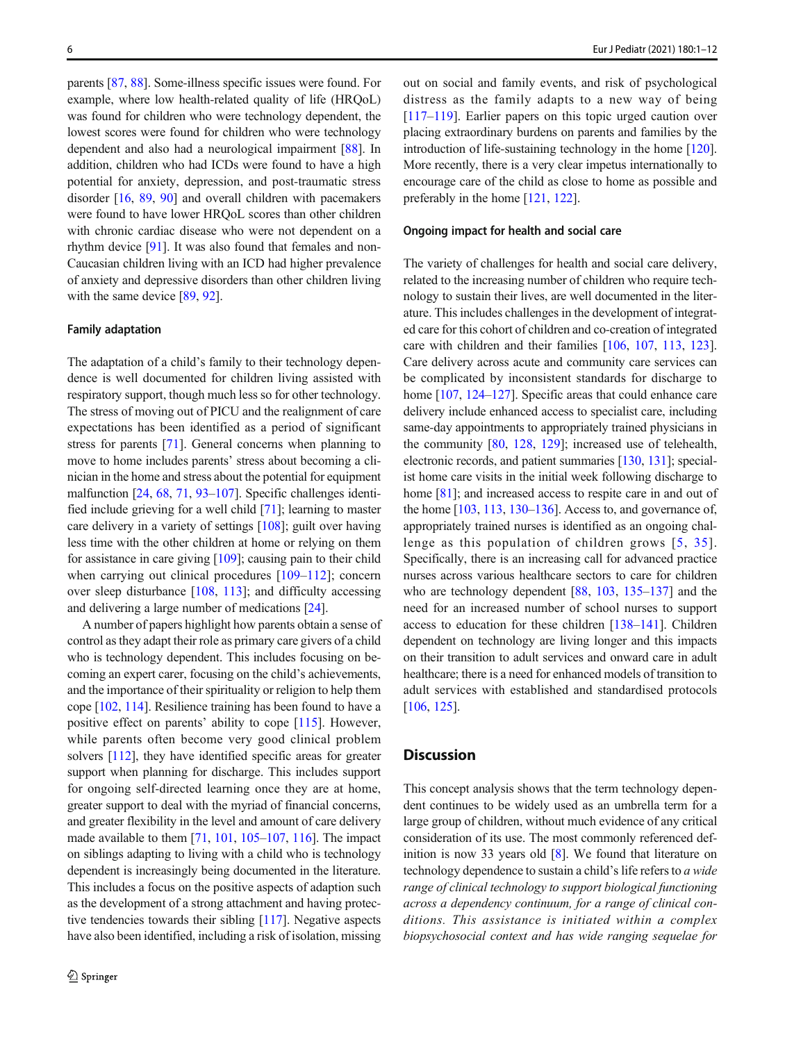parents [\[87](#page-9-0), [88\]](#page-9-0). Some-illness specific issues were found. For example, where low health-related quality of life (HRQoL) was found for children who were technology dependent, the lowest scores were found for children who were technology dependent and also had a neurological impairment [[88\]](#page-9-0). In addition, children who had ICDs were found to have a high potential for anxiety, depression, and post-traumatic stress disorder [[16](#page-7-0), [89](#page-9-0), [90](#page-9-0)] and overall children with pacemakers were found to have lower HRQoL scores than other children with chronic cardiac disease who were not dependent on a rhythm device [[91](#page-9-0)]. It was also found that females and non-Caucasian children living with an ICD had higher prevalence of anxiety and depressive disorders than other children living with the same device [[89,](#page-9-0) [92\]](#page-9-0).

#### Family adaptation

The adaptation of a child's family to their technology dependence is well documented for children living assisted with respiratory support, though much less so for other technology. The stress of moving out of PICU and the realignment of care expectations has been identified as a period of significant stress for parents [\[71](#page-9-0)]. General concerns when planning to move to home includes parents' stress about becoming a clinician in the home and stress about the potential for equipment malfunction [[24](#page-7-0), [68](#page-8-0), [71](#page-9-0), [93](#page-9-0)–[107\]](#page-10-0). Specific challenges identified include grieving for a well child [\[71](#page-9-0)]; learning to master care delivery in a variety of settings [\[108](#page-10-0)]; guilt over having less time with the other children at home or relying on them for assistance in care giving [\[109\]](#page-10-0); causing pain to their child when carrying out clinical procedures [[109](#page-10-0)–[112\]](#page-10-0); concern over sleep disturbance [\[108,](#page-10-0) [113](#page-10-0)]; and difficulty accessing and delivering a large number of medications [[24\]](#page-7-0).

A number of papers highlight how parents obtain a sense of control as they adapt their role as primary care givers of a child who is technology dependent. This includes focusing on becoming an expert carer, focusing on the child's achievements, and the importance of their spirituality or religion to help them cope [\[102,](#page-10-0) [114](#page-10-0)]. Resilience training has been found to have a positive effect on parents' ability to cope [\[115](#page-10-0)]. However, while parents often become very good clinical problem solvers [\[112\]](#page-10-0), they have identified specific areas for greater support when planning for discharge. This includes support for ongoing self-directed learning once they are at home, greater support to deal with the myriad of financial concerns, and greater flexibility in the level and amount of care delivery made available to them [[71,](#page-9-0) [101](#page-10-0), [105](#page-10-0)–[107,](#page-10-0) [116\]](#page-10-0). The impact on siblings adapting to living with a child who is technology dependent is increasingly being documented in the literature. This includes a focus on the positive aspects of adaption such as the development of a strong attachment and having protective tendencies towards their sibling [[117](#page-10-0)]. Negative aspects have also been identified, including a risk of isolation, missing

out on social and family events, and risk of psychological distress as the family adapts to a new way of being [\[117](#page-10-0)–[119](#page-10-0)]. Earlier papers on this topic urged caution over placing extraordinary burdens on parents and families by the introduction of life-sustaining technology in the home [\[120\]](#page-10-0). More recently, there is a very clear impetus internationally to encourage care of the child as close to home as possible and preferably in the home [\[121](#page-10-0), [122\]](#page-10-0).

## Ongoing impact for health and social care

The variety of challenges for health and social care delivery, related to the increasing number of children who require technology to sustain their lives, are well documented in the literature. This includes challenges in the development of integrated care for this cohort of children and co-creation of integrated care with children and their families [[106](#page-10-0), [107](#page-10-0), [113,](#page-10-0) [123\]](#page-10-0). Care delivery across acute and community care services can be complicated by inconsistent standards for discharge to home [[107](#page-10-0), [124](#page-10-0)–[127\]](#page-10-0). Specific areas that could enhance care delivery include enhanced access to specialist care, including same-day appointments to appropriately trained physicians in the community [\[80](#page-9-0), [128](#page-10-0), [129](#page-10-0)]; increased use of telehealth, electronic records, and patient summaries [\[130,](#page-11-0) [131](#page-11-0)]; specialist home care visits in the initial week following discharge to home [[81\]](#page-9-0); and increased access to respite care in and out of the home [\[103](#page-10-0), [113](#page-10-0), [130](#page-11-0)–[136](#page-11-0)]. Access to, and governance of, appropriately trained nurses is identified as an ongoing challenge as this population of children grows [[5](#page-7-0), [35\]](#page-8-0). Specifically, there is an increasing call for advanced practice nurses across various healthcare sectors to care for children who are technology dependent [\[88](#page-9-0), [103](#page-10-0), [135](#page-11-0)–[137\]](#page-11-0) and the need for an increased number of school nurses to support access to education for these children [[138](#page-11-0)–[141\]](#page-11-0). Children dependent on technology are living longer and this impacts on their transition to adult services and onward care in adult healthcare; there is a need for enhanced models of transition to adult services with established and standardised protocols [\[106,](#page-10-0) [125\]](#page-10-0).

## **Discussion**

This concept analysis shows that the term technology dependent continues to be widely used as an umbrella term for a large group of children, without much evidence of any critical consideration of its use. The most commonly referenced definition is now 33 years old [\[8](#page-7-0)]. We found that literature on technology dependence to sustain a child's life refers to a wide range of clinical technology to support biological functioning across a dependency continuum, for a range of clinical conditions. This assistance is initiated within a complex biopsychosocial context and has wide ranging sequelae for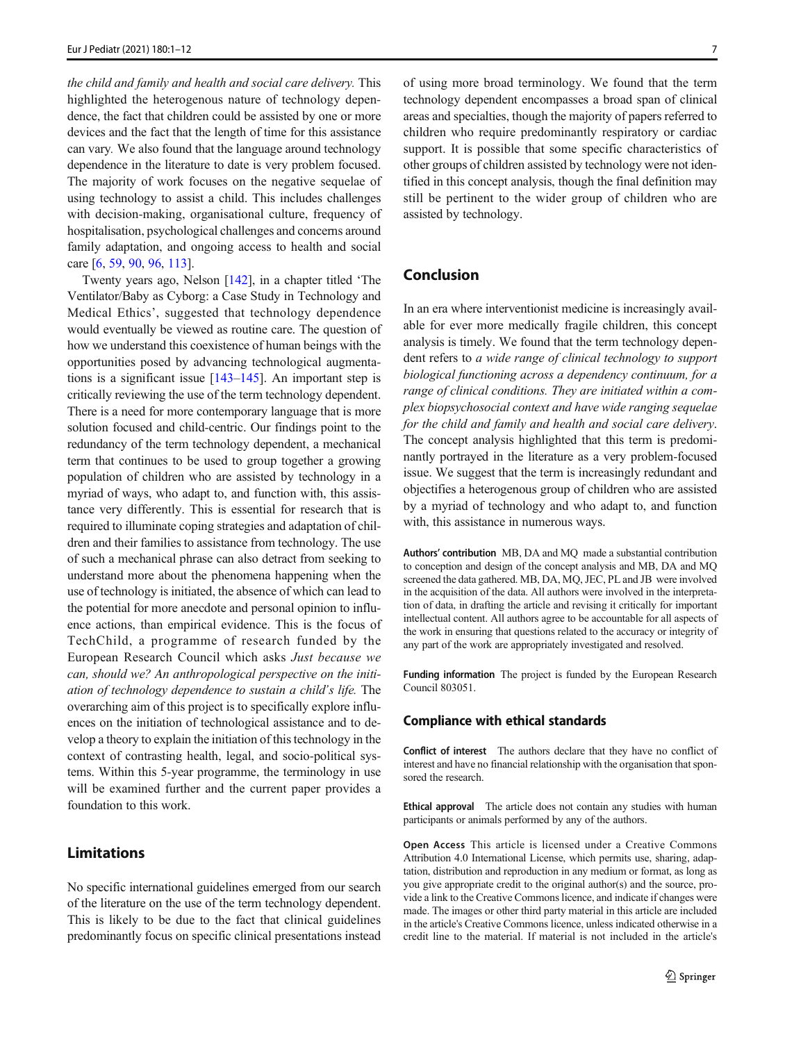the child and family and health and social care delivery. This highlighted the heterogenous nature of technology dependence, the fact that children could be assisted by one or more devices and the fact that the length of time for this assistance can vary. We also found that the language around technology dependence in the literature to date is very problem focused. The majority of work focuses on the negative sequelae of using technology to assist a child. This includes challenges with decision-making, organisational culture, frequency of hospitalisation, psychological challenges and concerns around family adaptation, and ongoing access to health and social care [[6,](#page-7-0) [59,](#page-8-0) [90](#page-9-0), [96](#page-9-0), [113](#page-10-0)].

Twenty years ago, Nelson [\[142](#page-11-0)], in a chapter titled 'The Ventilator/Baby as Cyborg: a Case Study in Technology and Medical Ethics', suggested that technology dependence would eventually be viewed as routine care. The question of how we understand this coexistence of human beings with the opportunities posed by advancing technological augmentations is a significant issue [\[143](#page-11-0)–[145\]](#page-11-0). An important step is critically reviewing the use of the term technology dependent. There is a need for more contemporary language that is more solution focused and child-centric. Our findings point to the redundancy of the term technology dependent, a mechanical term that continues to be used to group together a growing population of children who are assisted by technology in a myriad of ways, who adapt to, and function with, this assistance very differently. This is essential for research that is required to illuminate coping strategies and adaptation of children and their families to assistance from technology. The use of such a mechanical phrase can also detract from seeking to understand more about the phenomena happening when the use of technology is initiated, the absence of which can lead to the potential for more anecdote and personal opinion to influence actions, than empirical evidence. This is the focus of TechChild, a programme of research funded by the European Research Council which asks Just because we can, should we? An anthropological perspective on the initiation of technology dependence to sustain a child's life. The overarching aim of this project is to specifically explore influences on the initiation of technological assistance and to develop a theory to explain the initiation of this technology in the context of contrasting health, legal, and socio-political systems. Within this 5-year programme, the terminology in use will be examined further and the current paper provides a foundation to this work.

## Limitations

No specific international guidelines emerged from our search of the literature on the use of the term technology dependent. This is likely to be due to the fact that clinical guidelines predominantly focus on specific clinical presentations instead of using more broad terminology. We found that the term technology dependent encompasses a broad span of clinical areas and specialties, though the majority of papers referred to children who require predominantly respiratory or cardiac support. It is possible that some specific characteristics of other groups of children assisted by technology were not identified in this concept analysis, though the final definition may still be pertinent to the wider group of children who are assisted by technology.

# Conclusion

In an era where interventionist medicine is increasingly available for ever more medically fragile children, this concept analysis is timely. We found that the term technology dependent refers to a wide range of clinical technology to support biological functioning across a dependency continuum, for a range of clinical conditions. They are initiated within a complex biopsychosocial context and have wide ranging sequelae for the child and family and health and social care delivery. The concept analysis highlighted that this term is predominantly portrayed in the literature as a very problem-focused issue. We suggest that the term is increasingly redundant and objectifies a heterogenous group of children who are assisted by a myriad of technology and who adapt to, and function with, this assistance in numerous ways.

Authors' contribution MB, DA and MQ made a substantial contribution to conception and design of the concept analysis and MB, DA and MQ screened the data gathered. MB, DA, MQ, JEC, PL and JB were involved in the acquisition of the data. All authors were involved in the interpretation of data, in drafting the article and revising it critically for important intellectual content. All authors agree to be accountable for all aspects of the work in ensuring that questions related to the accuracy or integrity of any part of the work are appropriately investigated and resolved.

Funding information The project is funded by the European Research Council 803051.

#### Compliance with ethical standards

Conflict of interest The authors declare that they have no conflict of interest and have no financial relationship with the organisation that sponsored the research.

Ethical approval The article does not contain any studies with human participants or animals performed by any of the authors.

Open Access This article is licensed under a Creative Commons Attribution 4.0 International License, which permits use, sharing, adaptation, distribution and reproduction in any medium or format, as long as you give appropriate credit to the original author(s) and the source, provide a link to the Creative Commons licence, and indicate if changes were made. The images or other third party material in this article are included in the article's Creative Commons licence, unless indicated otherwise in a credit line to the material. If material is not included in the article's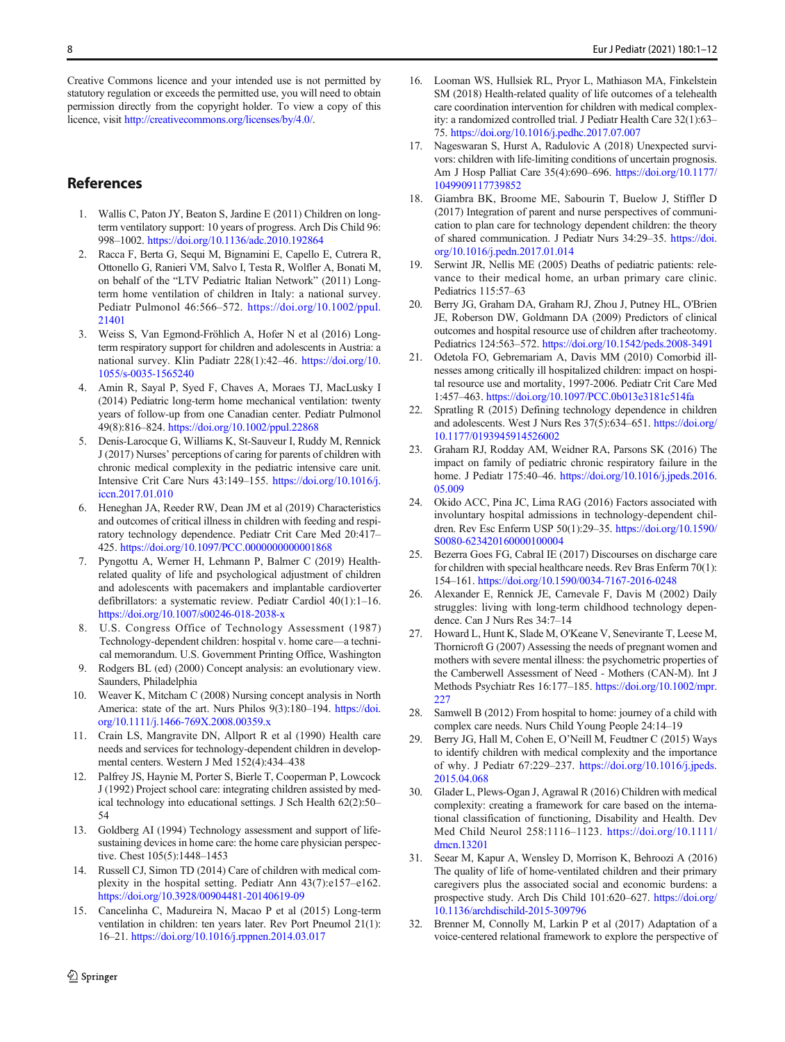<span id="page-7-0"></span>Creative Commons licence and your intended use is not permitted by statutory regulation or exceeds the permitted use, you will need to obtain permission directly from the copyright holder. To view a copy of this licence, visit [http://creativecommons.org/licenses/by/4.0/](https://doi.org/).

# References

- 1. Wallis C, Paton JY, Beaton S, Jardine E (2011) Children on longterm ventilatory support: 10 years of progress. Arch Dis Child 96: 998–1002. <https://doi.org/10.1136/adc.2010.192864>
- 2. Racca F, Berta G, Sequi M, Bignamini E, Capello E, Cutrera R, Ottonello G, Ranieri VM, Salvo I, Testa R, Wolfler A, Bonati M, on behalf of the "LTV Pediatric Italian Network" (2011) Longterm home ventilation of children in Italy: a national survey. Pediatr Pulmonol 46:566–572. [https://doi.org/10.1002/ppul.](https://doi.org/10.1002/ppul.21401) [21401](https://doi.org/10.1002/ppul.21401)
- 3. Weiss S, Van Egmond-Fröhlich A, Hofer N et al (2016) Longterm respiratory support for children and adolescents in Austria: a national survey. Klin Padiatr 228(1):42–46. [https://doi.org/10.](https://doi.org/10.1055/s-0035-1565240) [1055/s-0035-1565240](https://doi.org/10.1055/s-0035-1565240)
- 4. Amin R, Sayal P, Syed F, Chaves A, Moraes TJ, MacLusky I (2014) Pediatric long-term home mechanical ventilation: twenty years of follow-up from one Canadian center. Pediatr Pulmonol 49(8):816–824. <https://doi.org/10.1002/ppul.22868>
- 5. Denis-Larocque G, Williams K, St-Sauveur I, Ruddy M, Rennick J (2017) Nurses' perceptions of caring for parents of children with chronic medical complexity in the pediatric intensive care unit. Intensive Crit Care Nurs 43:149–155. [https://doi.org/10.1016/j.](https://doi.org/10.1016/j.iccn.2017.01.010) [iccn.2017.01.010](https://doi.org/10.1016/j.iccn.2017.01.010)
- 6. Heneghan JA, Reeder RW, Dean JM et al (2019) Characteristics and outcomes of critical illness in children with feeding and respiratory technology dependence. Pediatr Crit Care Med 20:417– 425. <https://doi.org/10.1097/PCC.0000000000001868>
- 7. Pyngottu A, Werner H, Lehmann P, Balmer C (2019) Healthrelated quality of life and psychological adjustment of children and adolescents with pacemakers and implantable cardioverter defibrillators: a systematic review. Pediatr Cardiol 40(1):1–16. <https://doi.org/10.1007/s00246-018-2038-x>
- U.S. Congress Office of Technology Assessment (1987) Technology-dependent children: hospital v. home care—a technical memorandum. U.S. Government Printing Office, Washington
- 9. Rodgers BL (ed) (2000) Concept analysis: an evolutionary view. Saunders, Philadelphia
- 10. Weaver K, Mitcham C (2008) Nursing concept analysis in North America: state of the art. Nurs Philos 9(3):180–194. [https://doi.](https://doi.org/10.1111/j.1466-769X.2008.00359.x) [org/10.1111/j.1466-769X.2008.00359.x](https://doi.org/10.1111/j.1466-769X.2008.00359.x)
- 11. Crain LS, Mangravite DN, Allport R et al (1990) Health care needs and services for technology-dependent children in developmental centers. Western J Med 152(4):434–438
- 12. Palfrey JS, Haynie M, Porter S, Bierle T, Cooperman P, Lowcock J (1992) Project school care: integrating children assisted by medical technology into educational settings. J Sch Health 62(2):50– 54
- 13. Goldberg AI (1994) Technology assessment and support of lifesustaining devices in home care: the home care physician perspective. Chest 105(5):1448–1453
- 14. Russell CJ, Simon TD (2014) Care of children with medical complexity in the hospital setting. Pediatr Ann 43(7):e157–e162. <https://doi.org/10.3928/00904481-20140619-09>
- 15. Cancelinha C, Madureira N, Macao P et al (2015) Long-term ventilation in children: ten years later. Rev Port Pneumol 21(1): 16–21. <https://doi.org/10.1016/j.rppnen.2014.03.017>
- 16. Looman WS, Hullsiek RL, Pryor L, Mathiason MA, Finkelstein SM (2018) Health-related quality of life outcomes of a telehealth care coordination intervention for children with medical complexity: a randomized controlled trial. J Pediatr Health Care 32(1):63– 75. <https://doi.org/10.1016/j.pedhc.2017.07.007>
- 17. Nageswaran S, Hurst A, Radulovic A (2018) Unexpected survivors: children with life-limiting conditions of uncertain prognosis. Am J Hosp Palliat Care 35(4):690–696. [https://doi.org/10.1177/](https://doi.org/10.1177/1049909117739852) [1049909117739852](https://doi.org/10.1177/1049909117739852)
- 18. Giambra BK, Broome ME, Sabourin T, Buelow J, Stiffler D (2017) Integration of parent and nurse perspectives of communication to plan care for technology dependent children: the theory of shared communication. J Pediatr Nurs 34:29–35. [https://doi.](https://doi.org/10.1016/j.pedn.2017.01.014) [org/10.1016/j.pedn.2017.01.014](https://doi.org/10.1016/j.pedn.2017.01.014)
- 19. Serwint JR, Nellis ME (2005) Deaths of pediatric patients: relevance to their medical home, an urban primary care clinic. Pediatrics 115:57–63
- 20. Berry JG, Graham DA, Graham RJ, Zhou J, Putney HL, O'Brien JE, Roberson DW, Goldmann DA (2009) Predictors of clinical outcomes and hospital resource use of children after tracheotomy. Pediatrics 124:563–572. <https://doi.org/10.1542/peds.2008-3491>
- 21. Odetola FO, Gebremariam A, Davis MM (2010) Comorbid illnesses among critically ill hospitalized children: impact on hospital resource use and mortality, 1997-2006. Pediatr Crit Care Med 1:457–463. <https://doi.org/10.1097/PCC.0b013e3181c514fa>
- 22. Spratling R (2015) Defining technology dependence in children and adolescents. West J Nurs Res 37(5):634–651. [https://doi.org/](https://doi.org/10.1177/0193945914526002) [10.1177/0193945914526002](https://doi.org/10.1177/0193945914526002)
- 23. Graham RJ, Rodday AM, Weidner RA, Parsons SK (2016) The impact on family of pediatric chronic respiratory failure in the home. J Pediatr 175:40–46. [https://doi.org/10.1016/j.jpeds.2016.](https://doi.org/10.1016/j.jpeds.2016.05.009) [05.009](https://doi.org/10.1016/j.jpeds.2016.05.009)
- 24. Okido ACC, Pina JC, Lima RAG (2016) Factors associated with involuntary hospital admissions in technology-dependent children. Rev Esc Enferm USP 50(1):29–35. [https://doi.org/10.1590/](https://doi.org/10.1590/S0080-623420160000100004) [S0080-623420160000100004](https://doi.org/10.1590/S0080-623420160000100004)
- 25. Bezerra Goes FG, Cabral IE (2017) Discourses on discharge care for children with special healthcare needs. Rev Bras Enferm 70(1): 154–161. <https://doi.org/10.1590/0034-7167-2016-0248>
- 26. Alexander E, Rennick JE, Carnevale F, Davis M (2002) Daily struggles: living with long-term childhood technology dependence. Can J Nurs Res 34:7–14
- 27. Howard L, Hunt K, Slade M, O'Keane V, Senevirante T, Leese M, Thornicroft G (2007) Assessing the needs of pregnant women and mothers with severe mental illness: the psychometric properties of the Camberwell Assessment of Need - Mothers (CAN-M). Int J Methods Psychiatr Res 16:177–185. [https://doi.org/10.1002/mpr.](https://doi.org/10.1002/mpr.227) [227](https://doi.org/10.1002/mpr.227)
- 28. Samwell B (2012) From hospital to home: journey of a child with complex care needs. Nurs Child Young People 24:14–19
- 29. Berry JG, Hall M, Cohen E, O'Neill M, Feudtner C (2015) Ways to identify children with medical complexity and the importance of why. J Pediatr 67:229–237. [https://doi.org/10.1016/j.jpeds.](https://doi.org/10.1016/j.jpeds.2015.04.068) [2015.04.068](https://doi.org/10.1016/j.jpeds.2015.04.068)
- 30. Glader L, Plews-Ogan J, Agrawal R (2016) Children with medical complexity: creating a framework for care based on the international classification of functioning, Disability and Health. Dev Med Child Neurol 258:1116–1123. [https://doi.org/10.1111/](https://doi.org/10.1111/dmcn.13201) [dmcn.13201](https://doi.org/10.1111/dmcn.13201)
- 31. Seear M, Kapur A, Wensley D, Morrison K, Behroozi A (2016) The quality of life of home-ventilated children and their primary caregivers plus the associated social and economic burdens: a prospective study. Arch Dis Child 101:620–627. [https://doi.org/](https://doi.org/10.1136/archdischild-2015-309796) [10.1136/archdischild-2015-309796](https://doi.org/10.1136/archdischild-2015-309796)
- 32. Brenner M, Connolly M, Larkin P et al (2017) Adaptation of a voice-centered relational framework to explore the perspective of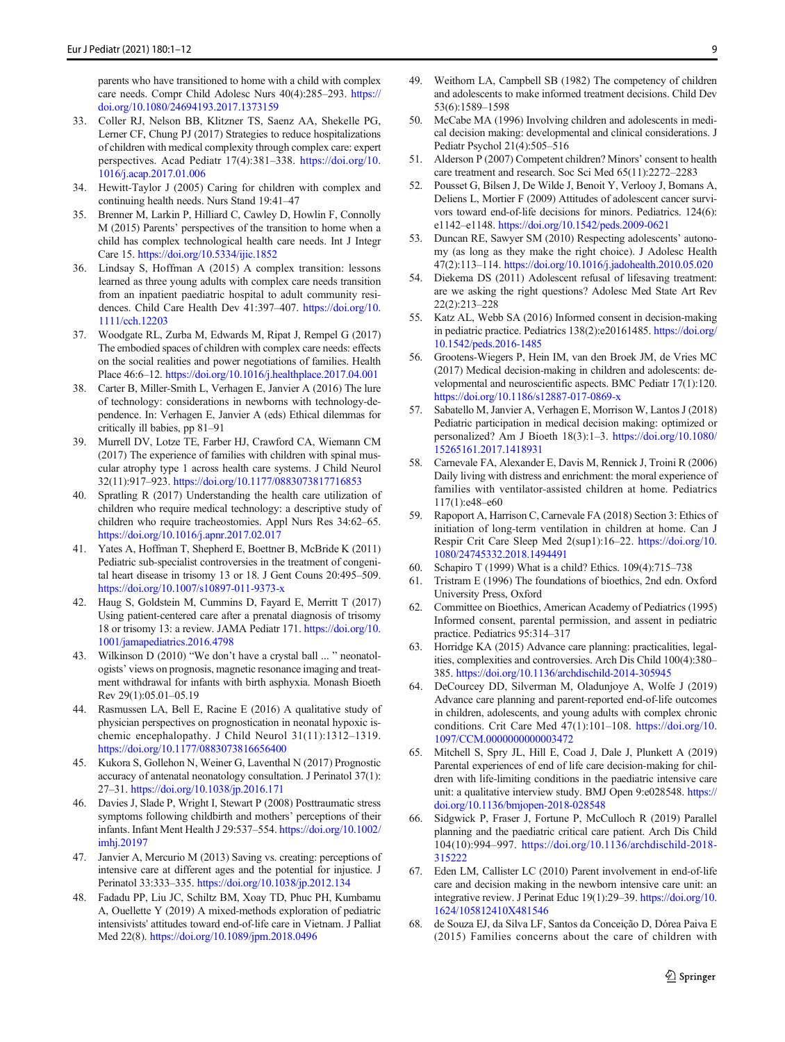<span id="page-8-0"></span>parents who have transitioned to home with a child with complex care needs. Compr Child Adolesc Nurs 40(4):285–293. [https://](https://doi.org/10.1080/24694193.2017.1373159) [doi.org/10.1080/24694193.2017.1373159](https://doi.org/10.1080/24694193.2017.1373159)

- 33. Coller RJ, Nelson BB, Klitzner TS, Saenz AA, Shekelle PG, Lerner CF, Chung PJ (2017) Strategies to reduce hospitalizations of children with medical complexity through complex care: expert perspectives. Acad Pediatr 17(4):381–338. [https://doi.org/10.](https://doi.org/10.1016/j.acap.2017.01.006) [1016/j.acap.2017.01.006](https://doi.org/10.1016/j.acap.2017.01.006)
- 34. Hewitt-Taylor J (2005) Caring for children with complex and continuing health needs. Nurs Stand 19:41–47
- 35. Brenner M, Larkin P, Hilliard C, Cawley D, Howlin F, Connolly M (2015) Parents' perspectives of the transition to home when a child has complex technological health care needs. Int J Integr Care 15. <https://doi.org/10.5334/ijic.1852>
- 36. Lindsay S, Hoffman A (2015) A complex transition: lessons learned as three young adults with complex care needs transition from an inpatient paediatric hospital to adult community residences. Child Care Health Dev 41:397–407. [https://doi.org/10.](https://doi.org/10.1111/cch.12203) [1111/cch.12203](https://doi.org/10.1111/cch.12203)
- 37. Woodgate RL, Zurba M, Edwards M, Ripat J, Rempel G (2017) The embodied spaces of children with complex care needs: effects on the social realities and power negotiations of families. Health Place 46:6–12. <https://doi.org/10.1016/j.healthplace.2017.04.001>
- 38. Carter B, Miller-Smith L, Verhagen E, Janvier A (2016) The lure of technology: considerations in newborns with technology-dependence. In: Verhagen E, Janvier A (eds) Ethical dilemmas for critically ill babies, pp 81–91
- 39. Murrell DV, Lotze TE, Farber HJ, Crawford CA, Wiemann CM (2017) The experience of families with children with spinal muscular atrophy type 1 across health care systems. J Child Neurol 32(11):917–923. <https://doi.org/10.1177/0883073817716853>
- 40. Spratling R (2017) Understanding the health care utilization of children who require medical technology: a descriptive study of children who require tracheostomies. Appl Nurs Res 34:62–65. <https://doi.org/10.1016/j.apnr.2017.02.017>
- 41. Yates A, Hoffman T, Shepherd E, Boettner B, McBride K (2011) Pediatric sub-specialist controversies in the treatment of congenital heart disease in trisomy 13 or 18. J Gent Couns 20:495–509. <https://doi.org/10.1007/s10897-011-9373-x>
- 42. Haug S, Goldstein M, Cummins D, Fayard E, Merritt T (2017) Using patient-centered care after a prenatal diagnosis of trisomy 18 or trisomy 13: a review. JAMA Pediatr 171. [https://doi.org/10.](https://doi.org/10.1001/jamapediatrics.2016.4798) [1001/jamapediatrics.2016.4798](https://doi.org/10.1001/jamapediatrics.2016.4798)
- 43. Wilkinson D (2010) "We don't have a crystal ball ... " neonatologists' views on prognosis, magnetic resonance imaging and treatment withdrawal for infants with birth asphyxia. Monash Bioeth Rev 29(1):05.01–05.19
- 44. Rasmussen LA, Bell E, Racine E (2016) A qualitative study of physician perspectives on prognostication in neonatal hypoxic ischemic encephalopathy. J Child Neurol 31(11):1312–1319. <https://doi.org/10.1177/0883073816656400>
- 45. Kukora S, Gollehon N, Weiner G, Laventhal N (2017) Prognostic accuracy of antenatal neonatology consultation. J Perinatol 37(1): 27–31. <https://doi.org/10.1038/jp.2016.171>
- 46. Davies J, Slade P, Wright I, Stewart P (2008) Posttraumatic stress symptoms following childbirth and mothers' perceptions of their infants. Infant Ment Health J 29:537–554. [https://doi.org/10.1002/](https://doi.org/10.1002/imhj.20197) [imhj.20197](https://doi.org/10.1002/imhj.20197)
- 47. Janvier A, Mercurio M (2013) Saving vs. creating: perceptions of intensive care at different ages and the potential for injustice. J Perinatol 33:333–335. <https://doi.org/10.1038/jp.2012.134>
- 48. Fadadu PP, Liu JC, Schiltz BM, Xoay TD, Phuc PH, Kumbamu A, Ouellette Y (2019) A mixed-methods exploration of pediatric intensivists' attitudes toward end-of-life care in Vietnam. J Palliat Med 22(8). <https://doi.org/10.1089/jpm.2018.0496>
- 49. Weithorn LA, Campbell SB (1982) The competency of children and adolescents to make informed treatment decisions. Child Dev 53(6):1589–1598
- 50. McCabe MA (1996) Involving children and adolescents in medical decision making: developmental and clinical considerations. J Pediatr Psychol 21(4):505–516
- 51. Alderson P (2007) Competent children? Minors' consent to health care treatment and research. Soc Sci Med 65(11):2272–2283
- 52. Pousset G, Bilsen J, De Wilde J, Benoit Y, Verlooy J, Bomans A, Deliens L, Mortier F (2009) Attitudes of adolescent cancer survivors toward end-of-life decisions for minors. Pediatrics. 124(6): e1142–e1148. <https://doi.org/10.1542/peds.2009-0621>
- 53. Duncan RE, Sawyer SM (2010) Respecting adolescents' autonomy (as long as they make the right choice). J Adolesc Health 47(2):113–114. <https://doi.org/10.1016/j.jadohealth.2010.05.020>
- 54. Diekema DS (2011) Adolescent refusal of lifesaving treatment: are we asking the right questions? Adolesc Med State Art Rev 22(2):213–228
- 55. Katz AL, Webb SA (2016) Informed consent in decision-making in pediatric practice. Pediatrics 138(2):e20161485. [https://doi.org/](https://doi.org/10.1542/peds.2016-1485) [10.1542/peds.2016-1485](https://doi.org/10.1542/peds.2016-1485)
- 56. Grootens-Wiegers P, Hein IM, van den Broek JM, de Vries MC (2017) Medical decision-making in children and adolescents: developmental and neuroscientific aspects. BMC Pediatr 17(1):120. <https://doi.org/10.1186/s12887-017-0869-x>
- 57. Sabatello M, Janvier A, Verhagen E, Morrison W, Lantos J (2018) Pediatric participation in medical decision making: optimized or personalized? Am J Bioeth 18(3):1–3. [https://doi.org/10.1080/](https://doi.org/10.1080/15265161.2017.1418931) [15265161.2017.1418931](https://doi.org/10.1080/15265161.2017.1418931)
- 58. Carnevale FA, Alexander E, Davis M, Rennick J, Troini R (2006) Daily living with distress and enrichment: the moral experience of families with ventilator-assisted children at home. Pediatrics 117(1):e48–e60
- 59. Rapoport A, Harrison C, Carnevale FA (2018) Section 3: Ethics of initiation of long-term ventilation in children at home. Can J Respir Crit Care Sleep Med 2(sup1):16–22. [https://doi.org/10.](https://doi.org/10.1080/24745332.2018.1494491) [1080/24745332.2018.1494491](https://doi.org/10.1080/24745332.2018.1494491)
- 60. Schapiro T (1999) What is a child? Ethics. 109(4):715–738
- 61. Tristram E (1996) The foundations of bioethics, 2nd edn. Oxford University Press, Oxford
- 62. Committee on Bioethics, American Academy of Pediatrics (1995) Informed consent, parental permission, and assent in pediatric practice. Pediatrics 95:314–317
- 63. Horridge KA (2015) Advance care planning: practicalities, legalities, complexities and controversies. Arch Dis Child 100(4):380– 385. <https://doi.org/10.1136/archdischild-2014-305945>
- 64. DeCourcey DD, Silverman M, Oladunjoye A, Wolfe J (2019) Advance care planning and parent-reported end-of-life outcomes in children, adolescents, and young adults with complex chronic conditions. Crit Care Med 47(1):101–108. [https://doi.org/10.](https://doi.org/10.1097/CCM.0000000000003472) [1097/CCM.0000000000003472](https://doi.org/10.1097/CCM.0000000000003472)
- 65. Mitchell S, Spry JL, Hill E, Coad J, Dale J, Plunkett A (2019) Parental experiences of end of life care decision-making for children with life-limiting conditions in the paediatric intensive care unit: a qualitative interview study. BMJ Open 9:e028548. [https://](https://doi.org/10.1136/bmjopen-2018-028548) [doi.org/10.1136/bmjopen-2018-028548](https://doi.org/10.1136/bmjopen-2018-028548)
- 66. Sidgwick P, Fraser J, Fortune P, McCulloch R (2019) Parallel planning and the paediatric critical care patient. Arch Dis Child 104(10):994–997. [https://doi.org/10.1136/archdischild-2018-](https://doi.org/10.1136/archdischild-2018-315222) [315222](https://doi.org/10.1136/archdischild-2018-315222)
- 67. Eden LM, Callister LC (2010) Parent involvement in end-of-life care and decision making in the newborn intensive care unit: an integrative review. J Perinat Educ 19(1):29–39. [https://doi.org/10.](https://doi.org/10.1624/105812410X481546) [1624/105812410X481546](https://doi.org/10.1624/105812410X481546)
- 68. de Souza EJ, da Silva LF, Santos da Conceição D, Dórea Paiva E (2015) Families concerns about the care of children with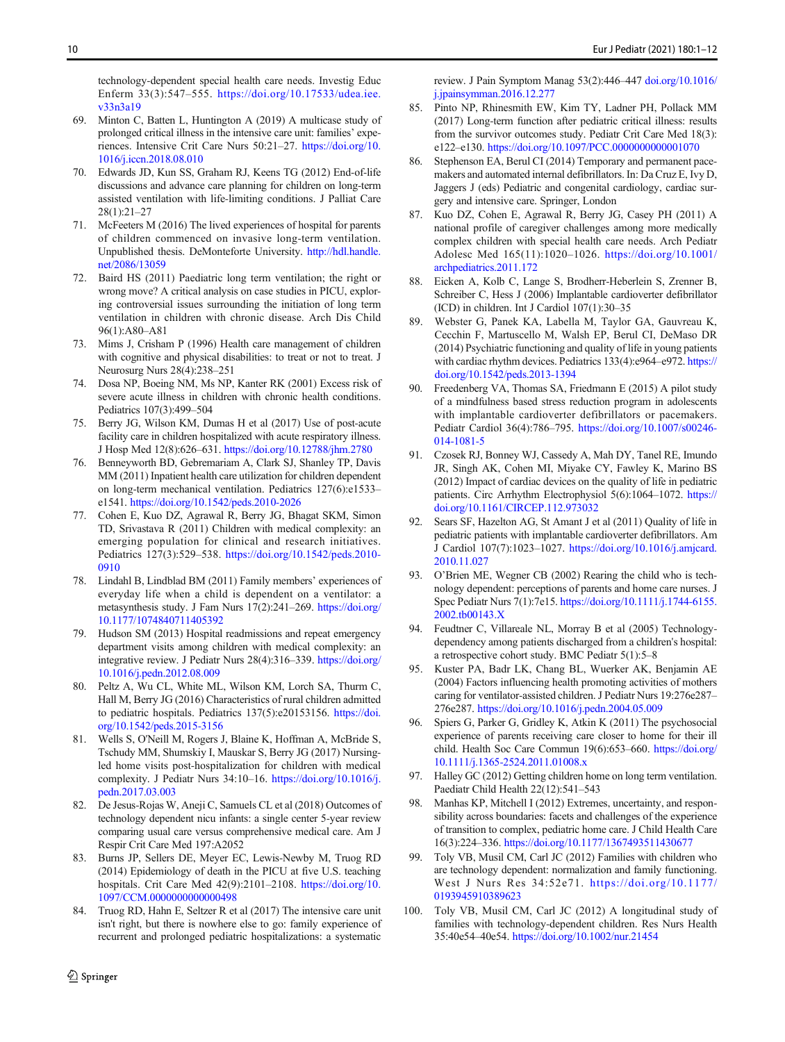<span id="page-9-0"></span>technology-dependent special health care needs. Investig Educ Enferm 33(3):547–555. [https://doi.org/10.17533/udea.iee.](https://doi.org/10.17533/udea.iee.v33n3a19) [v33n3a19](https://doi.org/10.17533/udea.iee.v33n3a19)

- 69. Minton C, Batten L, Huntington A (2019) A multicase study of prolonged critical illness in the intensive care unit: families' experiences. Intensive Crit Care Nurs 50:21–27. [https://doi.org/10.](https://doi.org/10.1016/j.iccn.2018.08.010) [1016/j.iccn.2018.08.010](https://doi.org/10.1016/j.iccn.2018.08.010)
- Edwards JD, Kun SS, Graham RJ, Keens TG (2012) End-of-life discussions and advance care planning for children on long-term assisted ventilation with life-limiting conditions. J Palliat Care 28(1):21–27
- 71. McFeeters M (2016) The lived experiences of hospital for parents of children commenced on invasive long-term ventilation. Unpublished thesis. DeMonteforte University. [http://hdl.handle.](http://hdl.handle.net/2086/13059) [net/2086/13059](http://hdl.handle.net/2086/13059)
- 72. Baird HS (2011) Paediatric long term ventilation; the right or wrong move? A critical analysis on case studies in PICU, exploring controversial issues surrounding the initiation of long term ventilation in children with chronic disease. Arch Dis Child 96(1):A80–A81
- 73. Mims J, Crisham P (1996) Health care management of children with cognitive and physical disabilities: to treat or not to treat. J Neurosurg Nurs 28(4):238–251
- 74. Dosa NP, Boeing NM, Ms NP, Kanter RK (2001) Excess risk of severe acute illness in children with chronic health conditions. Pediatrics 107(3):499–504
- Berry JG, Wilson KM, Dumas H et al (2017) Use of post-acute facility care in children hospitalized with acute respiratory illness. J Hosp Med 12(8):626–631. <https://doi.org/10.12788/jhm.2780>
- 76. Benneyworth BD, Gebremariam A, Clark SJ, Shanley TP, Davis MM (2011) Inpatient health care utilization for children dependent on long-term mechanical ventilation. Pediatrics 127(6):e1533– e1541. <https://doi.org/10.1542/peds.2010-2026>
- 77. Cohen E, Kuo DZ, Agrawal R, Berry JG, Bhagat SKM, Simon TD, Srivastava R (2011) Children with medical complexity: an emerging population for clinical and research initiatives. Pediatrics 127(3):529–538. [https://doi.org/10.1542/peds.2010-](https://doi.org/10.1542/peds.2010-0910) [0910](https://doi.org/10.1542/peds.2010-0910)
- 78. Lindahl B, Lindblad BM (2011) Family members' experiences of everyday life when a child is dependent on a ventilator: a metasynthesis study. J Fam Nurs 17(2):241–269. [https://doi.org/](https://doi.org/10.1177/1074840711405392) [10.1177/1074840711405392](https://doi.org/10.1177/1074840711405392)
- 79. Hudson SM (2013) Hospital readmissions and repeat emergency department visits among children with medical complexity: an integrative review. J Pediatr Nurs 28(4):316–339. [https://doi.org/](https://doi.org/10.1016/j.pedn.2012.08.009) [10.1016/j.pedn.2012.08.009](https://doi.org/10.1016/j.pedn.2012.08.009)
- 80. Peltz A, Wu CL, White ML, Wilson KM, Lorch SA, Thurm C, Hall M, Berry JG (2016) Characteristics of rural children admitted to pediatric hospitals. Pediatrics 137(5):e20153156. [https://doi.](https://doi.org/10.1542/peds.2015-3156) [org/10.1542/peds.2015-3156](https://doi.org/10.1542/peds.2015-3156)
- 81. Wells S, O'Neill M, Rogers J, Blaine K, Hoffman A, McBride S, Tschudy MM, Shumskiy I, Mauskar S, Berry JG (2017) Nursingled home visits post-hospitalization for children with medical complexity. J Pediatr Nurs 34:10–16. [https://doi.org/10.1016/j.](https://doi.org/10.1016/j.pedn.2017.03.003) [pedn.2017.03.003](https://doi.org/10.1016/j.pedn.2017.03.003)
- 82. De Jesus-Rojas W, Aneji C, Samuels CL et al (2018) Outcomes of technology dependent nicu infants: a single center 5-year review comparing usual care versus comprehensive medical care. Am J Respir Crit Care Med 197:A2052
- 83. Burns JP, Sellers DE, Meyer EC, Lewis-Newby M, Truog RD (2014) Epidemiology of death in the PICU at five U.S. teaching hospitals. Crit Care Med 42(9):2101-2108. [https://doi.org/10.](https://doi.org/10.1097/CCM.0000000000000498) [1097/CCM.0000000000000498](https://doi.org/10.1097/CCM.0000000000000498)
- 84. Truog RD, Hahn E, Seltzer R et al (2017) The intensive care unit isn't right, but there is nowhere else to go: family experience of recurrent and prolonged pediatric hospitalizations: a systematic

review. J Pain Symptom Manag 53(2):446–447 [doi.org/10.1016/](http://doi.org/10.1016/j.jpainsymman.2016.12.277) [j.jpainsymman.2016.12.277](http://doi.org/10.1016/j.jpainsymman.2016.12.277)

- 85. Pinto NP, Rhinesmith EW, Kim TY, Ladner PH, Pollack MM (2017) Long-term function after pediatric critical illness: results from the survivor outcomes study. Pediatr Crit Care Med 18(3): e122–e130. <https://doi.org/10.1097/PCC.0000000000001070>
- 86. Stephenson EA, Berul CI (2014) Temporary and permanent pacemakers and automated internal defibrillators. In: Da Cruz E, Ivy D, Jaggers J (eds) Pediatric and congenital cardiology, cardiac surgery and intensive care. Springer, London
- 87. Kuo DZ, Cohen E, Agrawal R, Berry JG, Casey PH (2011) A national profile of caregiver challenges among more medically complex children with special health care needs. Arch Pediatr Adolesc Med 165(11):1020–1026. [https://doi.org/10.1001/](https://doi.org/10.1001/archpediatrics.2011.172) [archpediatrics.2011.172](https://doi.org/10.1001/archpediatrics.2011.172)
- 88. Eicken A, Kolb C, Lange S, Brodherr-Heberlein S, Zrenner B, Schreiber C, Hess J (2006) Implantable cardioverter defibrillator (ICD) in children. Int J Cardiol 107(1):30–35
- 89. Webster G, Panek KA, Labella M, Taylor GA, Gauvreau K, Cecchin F, Martuscello M, Walsh EP, Berul CI, DeMaso DR (2014) Psychiatric functioning and quality of life in young patients with cardiac rhythm devices. Pediatrics 133(4):e964–e972. [https://](https://doi.org/10.1542/peds.2013-1394) [doi.org/10.1542/peds.2013-1394](https://doi.org/10.1542/peds.2013-1394)
- 90. Freedenberg VA, Thomas SA, Friedmann E (2015) A pilot study of a mindfulness based stress reduction program in adolescents with implantable cardioverter defibrillators or pacemakers. Pediatr Cardiol 36(4):786–795. [https://doi.org/10.1007/s00246-](https://doi.org/10.1007/s00246-014-1081-5) [014-1081-5](https://doi.org/10.1007/s00246-014-1081-5)
- 91. Czosek RJ, Bonney WJ, Cassedy A, Mah DY, Tanel RE, Imundo JR, Singh AK, Cohen MI, Miyake CY, Fawley K, Marino BS (2012) Impact of cardiac devices on the quality of life in pediatric patients. Circ Arrhythm Electrophysiol 5(6):1064–1072. [https://](https://doi.org/10.1161/CIRCEP.112.973032) [doi.org/10.1161/CIRCEP.112.973032](https://doi.org/10.1161/CIRCEP.112.973032)
- 92. Sears SF, Hazelton AG, St Amant J et al (2011) Quality of life in pediatric patients with implantable cardioverter defibrillators. Am J Cardiol 107(7):1023–1027. [https://doi.org/10.1016/j.amjcard.](https://doi.org/10.1016/j.amjcard.2010.11.027) [2010.11.027](https://doi.org/10.1016/j.amjcard.2010.11.027)
- 93. O'Brien ME, Wegner CB (2002) Rearing the child who is technology dependent: perceptions of parents and home care nurses. J Spec Pediatr Nurs 7(1):7e15. [https://doi.org/10.1111/j.1744-6155.](https://doi.org/10.1111/j.1744-6155.2002.tb00143.X) [2002.tb00143.X](https://doi.org/10.1111/j.1744-6155.2002.tb00143.X)
- 94. Feudtner C, Villareale NL, Morray B et al (2005) Technologydependency among patients discharged from a children's hospital: a retrospective cohort study. BMC Pediatr 5(1):5–8
- 95. Kuster PA, Badr LK, Chang BL, Wuerker AK, Benjamin AE (2004) Factors influencing health promoting activities of mothers caring for ventilator-assisted children. J Pediatr Nurs 19:276e287– 276e287. <https://doi.org/10.1016/j.pedn.2004.05.009>
- 96. Spiers G, Parker G, Gridley K, Atkin K (2011) The psychosocial experience of parents receiving care closer to home for their ill child. Health Soc Care Commun 19(6):653–660. [https://doi.org/](https://doi.org/10.1111/j.1365-2524.2011.01008.x) [10.1111/j.1365-2524.2011.01008.x](https://doi.org/10.1111/j.1365-2524.2011.01008.x)
- 97. Halley GC (2012) Getting children home on long term ventilation. Paediatr Child Health 22(12):541–543
- 98. Manhas KP, Mitchell I (2012) Extremes, uncertainty, and responsibility across boundaries: facets and challenges of the experience of transition to complex, pediatric home care. J Child Health Care 16(3):224–336. <https://doi.org/10.1177/1367493511430677>
- 99. Toly VB, Musil CM, Carl JC (2012) Families with children who are technology dependent: normalization and family functioning. West J Nurs Res 34:52e71. [https://doi.org/10.1177/](https://doi.org/10.1177/0193945910389623) [0193945910389623](https://doi.org/10.1177/0193945910389623)
- 100. Toly VB, Musil CM, Carl JC (2012) A longitudinal study of families with technology-dependent children. Res Nurs Health 35:40e54–40e54. <https://doi.org/10.1002/nur.21454>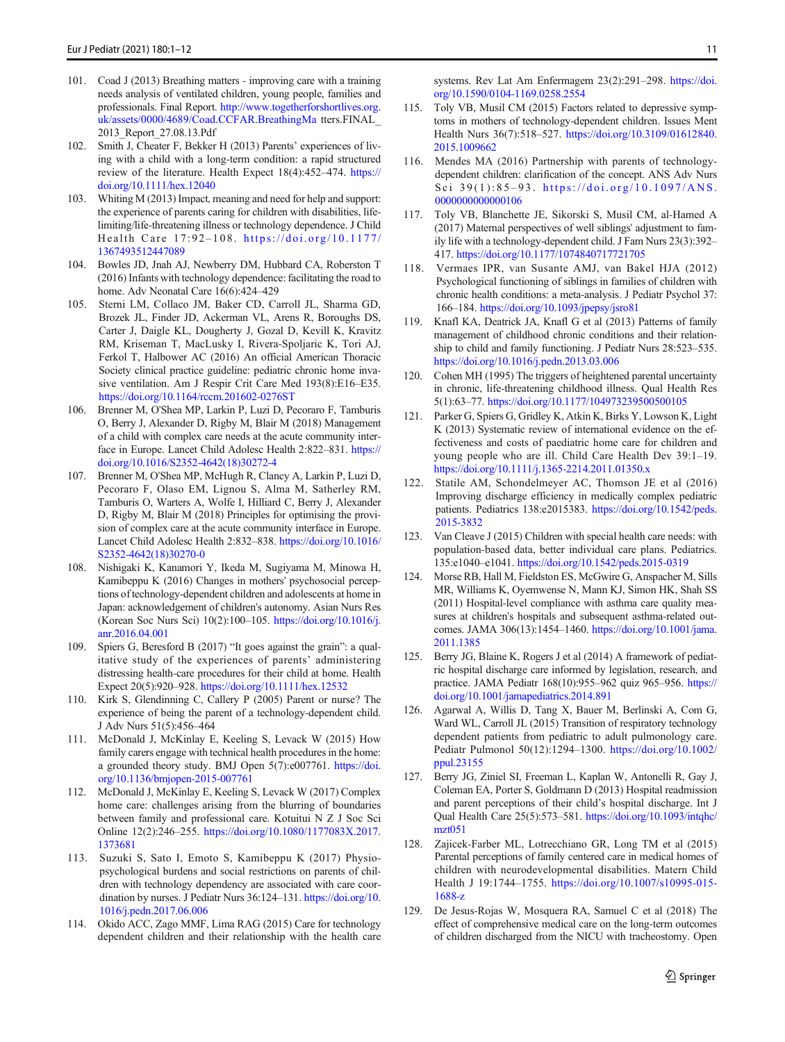- <span id="page-10-0"></span>101. Coad J (2013) Breathing matters - improving care with a training needs analysis of ventilated children, young people, families and professionals. Final Report. [http://www.togetherforshortlives.org.](http://www.togetherforshortlives.org.uk/assets/0000/4689/Coad.CCFAR.BreathingMa) [uk/assets/0000/4689/Coad.CCFAR.BreathingMa](http://www.togetherforshortlives.org.uk/assets/0000/4689/Coad.CCFAR.BreathingMa) tters.FINAL\_ 2013\_Report\_27.08.13.Pdf
- 102. Smith J, Cheater F, Bekker H (2013) Parents' experiences of living with a child with a long-term condition: a rapid structured review of the literature. Health Expect 18(4):452–474. [https://](https://doi.org/10.1111/hex.12040) [doi.org/10.1111/hex.12040](https://doi.org/10.1111/hex.12040)
- 103. Whiting M (2013) Impact, meaning and need for help and support: the experience of parents caring for children with disabilities, lifelimiting/life-threatening illness or technology dependence. J Child Health Care 17:92-108. [https://doi.org/10.1177/](https://doi.org/10.1177/1367493512447089) [1367493512447089](https://doi.org/10.1177/1367493512447089)
- 104. Bowles JD, Jnah AJ, Newberry DM, Hubbard CA, Roberston T (2016) Infants with technology dependence: facilitating the road to home. Adv Neonatal Care 16(6):424–429
- 105. Sterni LM, Collaco JM, Baker CD, Carroll JL, Sharma GD, Brozek JL, Finder JD, Ackerman VL, Arens R, Boroughs DS, Carter J, Daigle KL, Dougherty J, Gozal D, Kevill K, Kravitz RM, Kriseman T, MacLusky I, Rivera-Spoljaric K, Tori AJ, Ferkol T, Halbower AC (2016) An official American Thoracic Society clinical practice guideline: pediatric chronic home invasive ventilation. Am J Respir Crit Care Med 193(8):E16–E35. <https://doi.org/10.1164/rccm.201602-0276ST>
- 106. Brenner M, O'Shea MP, Larkin P, Luzi D, Pecoraro F, Tamburis O, Berry J, Alexander D, Rigby M, Blair M (2018) Management of a child with complex care needs at the acute community interface in Europe. Lancet Child Adolesc Health 2:822–831. [https://](https://doi.org/10.1016/S2352-4642(18)30272-4) [doi.org/10.1016/S2352-4642\(18\)30272-4](https://doi.org/10.1016/S2352-4642(18)30272-4)
- 107. Brenner M, O'Shea MP, McHugh R, Clancy A, Larkin P, Luzi D, Pecoraro F, Olaso EM, Lignou S, Alma M, Satherley RM, Tamburis O, Warters A, Wolfe I, Hilliard C, Berry J, Alexander D, Rigby M, Blair M (2018) Principles for optimising the provision of complex care at the acute community interface in Europe. Lancet Child Adolesc Health 2:832–838. [https://doi.org/10.1016/](https://doi.org/10.1016/S2352-4642(18)30270-0) [S2352-4642\(18\)30270-0](https://doi.org/10.1016/S2352-4642(18)30270-0)
- 108. Nishigaki K, Kanamori Y, Ikeda M, Sugiyama M, Minowa H, Kamibeppu K (2016) Changes in mothers' psychosocial perceptions of technology-dependent children and adolescents at home in Japan: acknowledgement of children's autonomy. Asian Nurs Res (Korean Soc Nurs Sci) 10(2):100–105. [https://doi.org/10.1016/j.](https://doi.org/10.1016/j.anr.2016.04.001) [anr.2016.04.001](https://doi.org/10.1016/j.anr.2016.04.001)
- 109. Spiers G, Beresford B (2017) "It goes against the grain": a qualitative study of the experiences of parents' administering distressing health-care procedures for their child at home. Health Expect 20(5):920–928. <https://doi.org/10.1111/hex.12532>
- 110. Kirk S, Glendinning C, Callery P (2005) Parent or nurse? The experience of being the parent of a technology-dependent child. J Adv Nurs 51(5):456–464
- 111. McDonald J, McKinlay E, Keeling S, Levack W (2015) How family carers engage with technical health procedures in the home: a grounded theory study. BMJ Open 5(7):e007761. [https://doi.](https://doi.org/10.1136/bmjopen-2015-007761) [org/10.1136/bmjopen-2015-007761](https://doi.org/10.1136/bmjopen-2015-007761)
- 112. McDonald J, McKinlay E, Keeling S, Levack W (2017) Complex home care: challenges arising from the blurring of boundaries between family and professional care. Kotuitui N Z J Soc Sci Online 12(2):246–255. [https://doi.org/10.1080/1177083X.2017.](https://doi.org/10.1080/1177083X.2017.1373681) [1373681](https://doi.org/10.1080/1177083X.2017.1373681)
- 113. Suzuki S, Sato I, Emoto S, Kamibeppu K (2017) Physiopsychological burdens and social restrictions on parents of children with technology dependency are associated with care coordination by nurses. J Pediatr Nurs 36:124–131. [https://doi.org/10.](https://doi.org/10.1016/j.pedn.2017.06.006) [1016/j.pedn.2017.06.006](https://doi.org/10.1016/j.pedn.2017.06.006)
- 114. Okido ACC, Zago MMF, Lima RAG (2015) Care for technology dependent children and their relationship with the health care

systems. Rev Lat Am Enfermagem 23(2):291–298. [https://doi.](https://doi.org/10.1590/0104-1169.0258.2554) [org/10.1590/0104-1169.0258.2554](https://doi.org/10.1590/0104-1169.0258.2554)

- 115. Toly VB, Musil CM (2015) Factors related to depressive symptoms in mothers of technology-dependent children. Issues Ment Health Nurs 36(7):518–527. [https://doi.org/10.3109/01612840.](https://doi.org/10.3109/01612840.2015.1009662) [2015.1009662](https://doi.org/10.3109/01612840.2015.1009662)
- 116. Mendes MA (2016) Partnership with parents of technologydependent children: clarification of the concept. ANS Adv Nurs Sci 39(1):85-93. [https://doi.org/10.1097/ANS.](https://doi.org/10.1097/ANS.0000000000000106) [0000000000000106](https://doi.org/10.1097/ANS.0000000000000106)
- 117. Toly VB, Blanchette JE, Sikorski S, Musil CM, al-Hamed A (2017) Maternal perspectives of well siblings' adjustment to family life with a technology-dependent child. J Fam Nurs 23(3):392– 417. <https://doi.org/10.1177/1074840717721705>
- 118. Vermaes IPR, van Susante AMJ, van Bakel HJA (2012) Psychological functioning of siblings in families of children with chronic health conditions: a meta-analysis. J Pediatr Psychol 37: 166–184. <https://doi.org/10.1093/jpepsy/jsro81>
- 119. Knafl KA, Deatrick JA, Knafl G et al (2013) Patterns of family management of childhood chronic conditions and their relationship to child and family functioning. J Pediatr Nurs 28:523–535. <https://doi.org/10.1016/j.pedn.2013.03.006>
- 120. Cohen MH (1995) The triggers of heightened parental uncertainty in chronic, life-threatening childhood illness. Qual Health Res 5(1):63–77. <https://doi.org/10.1177/104973239500500105>
- 121. Parker G, Spiers G, Gridley K, Atkin K, Birks Y, Lowson K, Light K (2013) Systematic review of international evidence on the effectiveness and costs of paediatric home care for children and young people who are ill. Child Care Health Dev 39:1–19. <https://doi.org/10.1111/j.1365-2214.2011.01350.x>
- 122. Statile AM, Schondelmeyer AC, Thomson JE et al (2016) Improving discharge efficiency in medically complex pediatric patients. Pediatrics 138:e2015383. [https://doi.org/10.1542/peds.](https://doi.org/10.1542/peds.2015-3832) [2015-3832](https://doi.org/10.1542/peds.2015-3832)
- 123. Van Cleave J (2015) Children with special health care needs: with population-based data, better individual care plans. Pediatrics. 135:e1040–e1041. <https://doi.org/10.1542/peds.2015-0319>
- 124. Morse RB, Hall M, Fieldston ES, McGwire G, Anspacher M, Sills MR, Williams K, Oyemwense N, Mann KJ, Simon HK, Shah SS (2011) Hospital-level compliance with asthma care quality measures at children's hospitals and subsequent asthma-related outcomes. JAMA 306(13):1454–1460. [https://doi.org/10.1001/jama.](https://doi.org/10.1001/jama.2011.1385) [2011.1385](https://doi.org/10.1001/jama.2011.1385)
- 125. Berry JG, Blaine K, Rogers J et al (2014) A framework of pediatric hospital discharge care informed by legislation, research, and practice. JAMA Pediatr 168(10):955–962 quiz 965–956. [https://](https://doi.org/10.1001/jamapediatrics.2014.891) [doi.org/10.1001/jamapediatrics.2014.891](https://doi.org/10.1001/jamapediatrics.2014.891)
- 126. Agarwal A, Willis D, Tang X, Bauer M, Berlinski A, Com G, Ward WL, Carroll JL (2015) Transition of respiratory technology dependent patients from pediatric to adult pulmonology care. Pediatr Pulmonol 50(12):1294–1300. [https://doi.org/10.1002/](https://doi.org/10.1002/ppul.23155) [ppul.23155](https://doi.org/10.1002/ppul.23155)
- 127. Berry JG, Ziniel SI, Freeman L, Kaplan W, Antonelli R, Gay J, Coleman EA, Porter S, Goldmann D (2013) Hospital readmission and parent perceptions of their child's hospital discharge. Int J Qual Health Care 25(5):573–581. [https://doi.org/10.1093/intqhc/](https://doi.org/10.1093/intqhc/mzt051) [mzt051](https://doi.org/10.1093/intqhc/mzt051)
- 128. Zajicek-Farber ML, Lotrecchiano GR, Long TM et al (2015) Parental perceptions of family centered care in medical homes of children with neurodevelopmental disabilities. Matern Child Health J 19:1744–1755. [https://doi.org/10.1007/s10995-015-](https://doi.org/10.1007/s10995-015-1688-z) [1688-z](https://doi.org/10.1007/s10995-015-1688-z)
- 129. De Jesus-Rojas W, Mosquera RA, Samuel C et al (2018) The effect of comprehensive medical care on the long-term outcomes of children discharged from the NICU with tracheostomy. Open